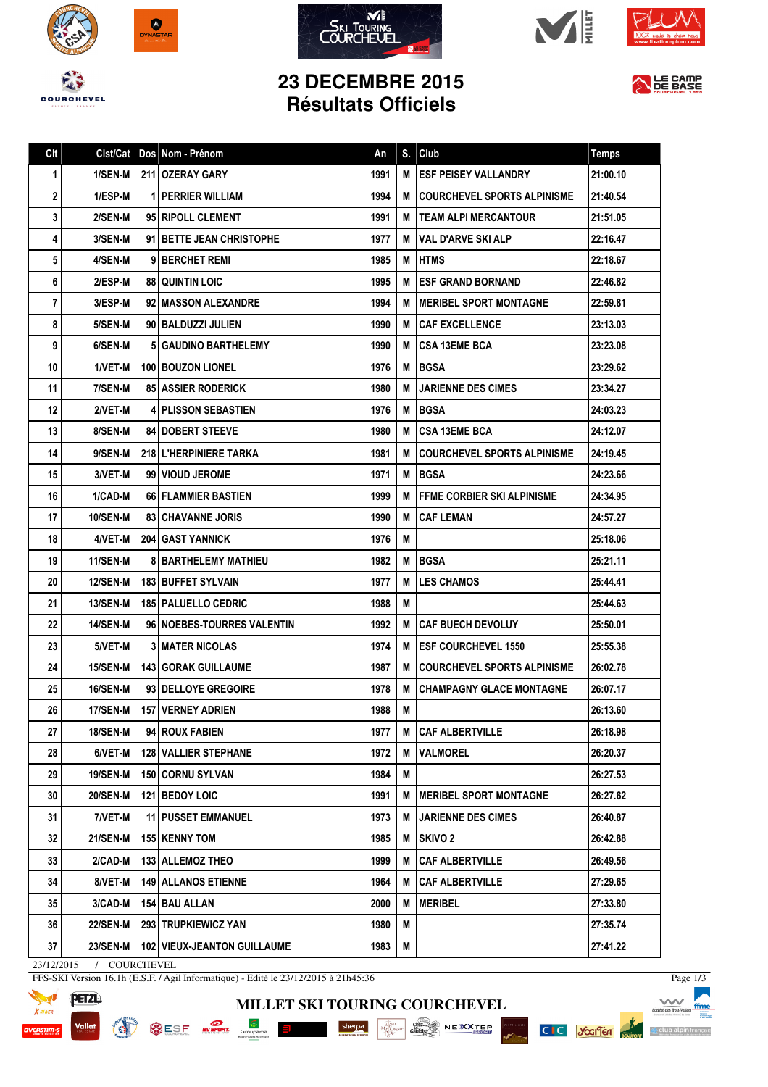









## **23 DECEMBRE 2015 Résultats Officiels**



| Clt | Clst/Cat        | Dos Nom - Prénom                     | An   | S. | Club                                | <b>Temps</b> |
|-----|-----------------|--------------------------------------|------|----|-------------------------------------|--------------|
| 1   | 1/SEN-M         | 211 OZERAY GARY                      | 1991 | м  | <b>ESF PEISEY VALLANDRY</b>         | 21:00.10     |
| 2   | 1/ESP-M         | <b>1 PERRIER WILLIAM</b>             | 1994 | М  | <b>COURCHEVEL SPORTS ALPINISME</b>  | 21:40.54     |
| 3   | 2/SEN-M         | 95 RIPOLL CLEMENT                    | 1991 | м  | <b>ITEAM ALPI MERCANTOUR</b>        | 21:51.05     |
| 4   | 3/SEN-M         | 91 BETTE JEAN CHRISTOPHE             | 1977 | м  | l VAL D'ARVE SKI ALP                | 22:16.47     |
| 5   | 4/SEN-M         | 9 BERCHET REMI                       | 1985 | М  | <b>IHTMS</b>                        | 22:18.67     |
| 6   | 2/ESP-M         | <b>88 QUINTIN LOIC</b>               | 1995 | M  | <b>ESF GRAND BORNAND</b>            | 22:46.82     |
| 7   | 3/ESP-M         | 92 MASSON ALEXANDRE                  | 1994 | м  | MERIBEL SPORT MONTAGNE              | 22:59.81     |
| 8   | 5/SEN-M         | 90 BALDUZZI JULIEN                   | 1990 | М  | <b>CAF EXCELLENCE</b>               | 23:13.03     |
| 9   | 6/SEN-M         | 5 GAUDINO BARTHELEMY                 | 1990 | м  | <b>CSA 13EME BCA</b>                | 23:23.08     |
| 10  | 1/VET-M         | 100 BOUZON LIONEL                    | 1976 | M  | <b>BGSA</b>                         | 23:29.62     |
| 11  | 7/SEN-M         | <b>85   ASSIER RODERICK</b>          | 1980 | М  | <b>JARIENNE DES CIMES</b>           | 23:34.27     |
| 12  | 2/VET-M         | <b>4 PLISSON SEBASTIEN</b>           | 1976 | M  | <b>BGSA</b>                         | 24:03.23     |
| 13  | 8/SEN-M         | <b>84 DOBERT STEEVE</b>              | 1980 | M  | <b>CSA 13EME BCA</b>                | 24:12.07     |
| 14  | 9/SEN-M         | 218 L'HERPINIERE TARKA               | 1981 | М  | <b>COURCHEVEL SPORTS ALPINISME</b>  | 24:19.45     |
| 15  | 3/VET-M         | 99 VIOUD JEROME                      | 1971 | М  | <b>IBGSA</b>                        | 24:23.66     |
| 16  | 1/CAD-M         | <b>66 FLAMMIER BASTIEN</b>           | 1999 | м  | <b>I FFME CORBIER SKI ALPINISME</b> | 24:34.95     |
| 17  | <b>10/SEN-M</b> | <b>83 CHAVANNE JORIS</b>             | 1990 | М  | <b>CAF LEMAN</b>                    | 24:57.27     |
| 18  | 4/VET-M         | <b>204 I GAST YANNICK</b>            | 1976 | М  |                                     | 25:18.06     |
| 19  | 11/SEN-M        | <b>8 BARTHELEMY MATHIEU</b>          | 1982 | M  | <b>BGSA</b>                         | 25:21.11     |
| 20  | <b>12/SEN-M</b> | <b>183 I BUFFET SYLVAIN</b>          | 1977 | М  | <b>LES CHAMOS</b>                   | 25:44.41     |
| 21  | 13/SEN-M        | <b>185   PALUELLO CEDRIC</b>         | 1988 | M  |                                     | 25:44.63     |
| 22  | <b>14/SEN-M</b> | 96   NOEBES-TOURRES VALENTIN         | 1992 | м  | <b>CAF BUECH DEVOLUY</b>            | 25:50.01     |
| 23  | 5/VET-M         | <b>3 MATER NICOLAS</b>               | 1974 | М  | <b>ESF COURCHEVEL 1550</b>          | 25:55.38     |
| 24  | <b>15/SEN-M</b> | <b>143   GORAK GUILLAUME</b>         | 1987 | М  | I COURCHEVEL SPORTS ALPINISME       | 26:02.78     |
| 25  | <b>16/SEN-M</b> | 93 DELLOYE GREGOIRE                  | 1978 | M  | <b>CHAMPAGNY GLACE MONTAGNE</b>     | 26:07.17     |
| 26  | 17/SEN-M        | 157 VERNEY ADRIEN                    | 1988 | M  |                                     | 26:13.60     |
| 27  | 18/SEN-M        | 94 ROUX FABIEN                       | 1977 | М  | <b>CAF ALBERTVILLE</b>              | 26:18.98     |
| 28  | 6/VET-M         | <b>128 VALLIER STEPHANE</b>          | 1972 | M  | <b>VALMOREL</b>                     | 26:20.37     |
| 29  | <b>19/SEN-M</b> | <b>150 CORNU SYLVAN</b>              | 1984 | М  |                                     | 26:27.53     |
| 30  | <b>20/SEN-M</b> | 121 BEDOY LOIC                       | 1991 | м  | <b>IMERIBEL SPORT MONTAGNE</b>      | 26:27.62     |
| 31  | 7/VET-M         | <b>11 I PUSSET EMMANUEL</b>          | 1973 | м  | <b>JARIENNE DES CIMES</b>           | 26:40.87     |
| 32  | 21/SEN-M        | 155   KENNY TOM                      | 1985 | М  | SKIVO 2                             | 26:42.88     |
| 33  | 2/CAD-M         | 133 ALLEMOZ THEO                     | 1999 | м  | <b>CAF ALBERTVILLE</b>              | 26:49.56     |
| 34  | 8/VET-M         | <b>149 ALLANOS ETIENNE</b>           | 1964 | м  | <b>CAF ALBERTVILLE</b>              | 27:29.65     |
| 35  | 3/CAD-M         | 154 BAU ALLAN                        | 2000 | М  | <b>MERIBEL</b>                      | 27:33.80     |
| 36  | <b>22/SEN-M</b> | 293 TRUPKIEWICZ YAN                  | 1980 | М  |                                     | 27:35.74     |
| 37  | 23/SEN-M        | <b>102   VIEUX-JEANTON GUILLAUME</b> | 1983 | М  |                                     | 27:41.22     |

**MILLET SKI TOURING COURCHEVEL**

SESE When Groupman E Sherpa Sherpa Construction of the Monday of the Manuscript of the Manuscript of the Manuscript of the Manuscript of the Manuscript of the Manuscript of the Manuscript of the Manuscript of the Manuscrip

23/12/2015 / COURCHEVEL

FFS-SKI Version 16.1h (E.S.F. / Agil Informatique) - Edité le 23/12/2015 à 21h45:36



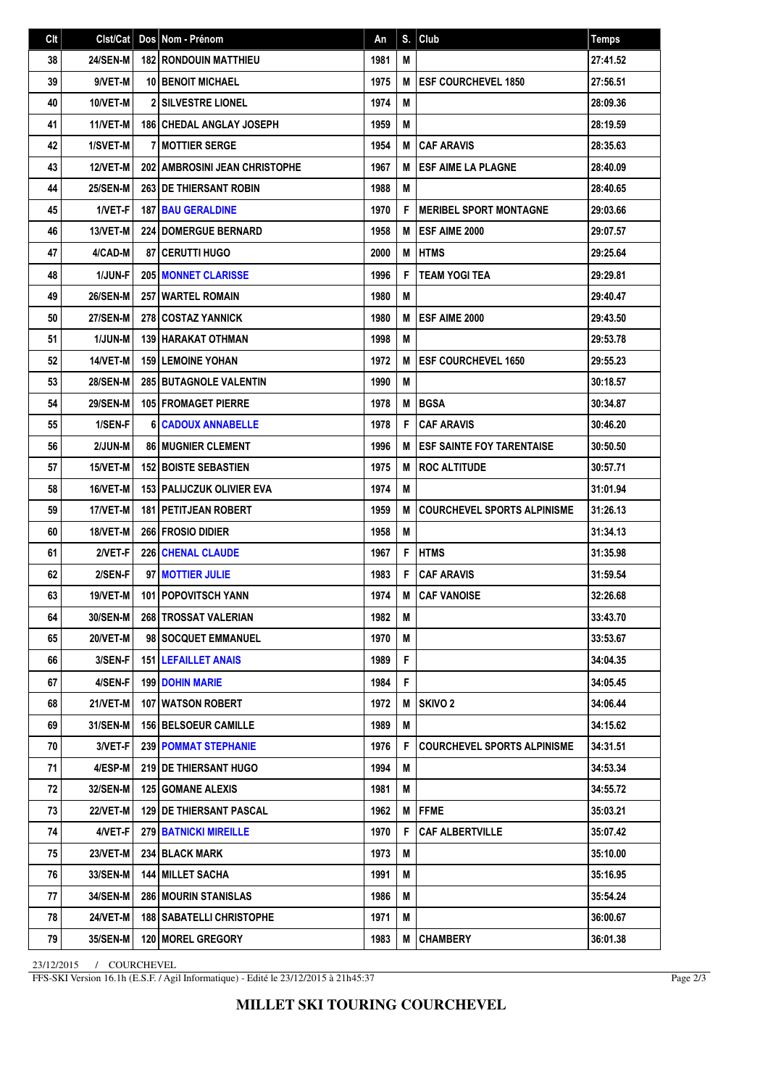| Clt | Clst/Cat        | Dos   Nom - Prénom                 | An   | S. | Club                               | Temps    |
|-----|-----------------|------------------------------------|------|----|------------------------------------|----------|
| 38  | <b>24/SEN-M</b> | <b>182 RONDOUIN MATTHIEU</b>       | 1981 | M  |                                    | 27:41.52 |
| 39  | 9/VET-M         | <b>10 BENOIT MICHAEL</b>           | 1975 | M  | <b>ESF COURCHEVEL 1850</b>         | 27:56.51 |
| 40  | 10/VET-M        | <b>2 SILVESTRE LIONEL</b>          | 1974 | M  |                                    | 28:09.36 |
| 41  | 11/VET-M        | 186 CHEDAL ANGLAY JOSEPH           | 1959 | M  |                                    | 28:19.59 |
| 42  | 1/SVET-M        | <b>7 MOTTIER SERGE</b>             | 1954 | M  | <b>CAF ARAVIS</b>                  | 28:35.63 |
| 43  | 12/VET-M        | 202 AMBROSINI JEAN CHRISTOPHE      | 1967 | M  | <b>ESF AIME LA PLAGNE</b>          | 28:40.09 |
| 44  | <b>25/SEN-M</b> | <b>263 DE THIERSANT ROBIN</b>      | 1988 | M  |                                    | 28:40.65 |
| 45  | 1/VET-F         | 187 BAU GERALDINE                  | 1970 | F  | <b>MERIBEL SPORT MONTAGNE</b>      | 29:03.66 |
| 46  | 13/VET-M        | <b>224 DOMERGUE BERNARD</b>        | 1958 | M  | <b>IESF AIME 2000</b>              | 29:07.57 |
| 47  | 4/CAD-M         | <b>87   CERUTTI HUGO</b>           | 2000 | M  | <b>HTMS</b>                        | 29:25.64 |
| 48  | 1/JUN-F         | <b>205   MONNET CLARISSE</b>       | 1996 | F  | <b>TEAM YOGI TEA</b>               | 29:29.81 |
| 49  | <b>26/SEN-M</b> | <b>257 WARTEL ROMAIN</b>           | 1980 | M  |                                    | 29:40.47 |
| 50  | <b>27/SEN-M</b> | <b>278 COSTAZ YANNICK</b>          | 1980 | M  | ESF AIME 2000                      | 29:43.50 |
| 51  | 1/JUN-M         | 139 HARAKAT OTHMAN                 | 1998 | M  |                                    | 29:53.78 |
| 52  | 14/VET-M        | <b>159 LEMOINE YOHAN</b>           | 1972 | M  | <b>ESF COURCHEVEL 1650</b>         | 29:55.23 |
| 53  | <b>28/SEN-M</b> | 285 BUTAGNOLE VALENTIN             | 1990 | M  |                                    | 30:18.57 |
| 54  | <b>29/SEN-M</b> | 105 FROMAGET PIERRE                | 1978 | M  | <b>BGSA</b>                        | 30:34.87 |
| 55  | 1/SEN-F         | <b>6 CADOUX ANNABELLE</b>          | 1978 | F  | <b>CAF ARAVIS</b>                  | 30:46.20 |
| 56  | 2/JUN-M         | <b>86 MUGNIER CLEMENT</b>          | 1996 | M  | <b>ESF SAINTE FOY TARENTAISE</b>   | 30:50.50 |
| 57  | <b>15/VET-M</b> | <b>152 BOISTE SEBASTIEN</b>        | 1975 | M  | <b>ROC ALTITUDE</b>                | 30:57.71 |
| 58  | 16/VET-M        | <b>153   PALIJCZUK OLIVIER EVA</b> | 1974 | M  |                                    | 31:01.94 |
| 59  | 17/VET-M        | <b>181   PETITJEAN ROBERT</b>      | 1959 | M  | <b>COURCHEVEL SPORTS ALPINISME</b> | 31:26.13 |
| 60  | 18/VET-M        | <b>266 FROSIO DIDIER</b>           | 1958 | M  |                                    | 31:34.13 |
| 61  | 2/VET-F         | <b>226 CHENAL CLAUDE</b>           | 1967 | F  | <b>HTMS</b>                        | 31:35.98 |
| 62  | 2/SEN-F         | 97 MOTTIER JULIE                   | 1983 | F  | <b>CAF ARAVIS</b>                  | 31:59.54 |
| 63  | 19/VET-M        | <b>101 POPOVITSCH YANN</b>         | 1974 | M  | <b>CAF VANOISE</b>                 | 32:26.68 |
| 64  | 30/SEN-M        | 268 TROSSAT VALERIAN               | 1982 | M  |                                    | 33:43.70 |
| 65  | 20/VET-M        | 98   SOCQUET EMMANUEL              | 1970 | M  |                                    | 33:53.67 |
| 66  | 3/SEN-F         | <b>151 LEFAILLET ANAIS</b>         | 1989 | F  |                                    | 34:04.35 |
| 67  | 4/SEN-F         | <b>199 DOHIN MARIE</b>             | 1984 | F  |                                    | 34:05.45 |
| 68  | 21/VET-M        | 107 WATSON ROBERT                  | 1972 | М  | <b>SKIVO 2</b>                     | 34:06.44 |
| 69  | 31/SEN-M        | 156 BELSOEUR CAMILLE               | 1989 | M  |                                    | 34:15.62 |
| 70  | 3/VET-F         | <b>239   POMMAT STEPHANIE</b>      | 1976 | F  | <b>COURCHEVEL SPORTS ALPINISME</b> | 34:31.51 |
| 71  | 4/ESP-M         | <b>219   DE THIERSANT HUGO</b>     | 1994 | M  |                                    | 34:53.34 |
| 72  | 32/SEN-M        | <b>125 GOMANE ALEXIS</b>           | 1981 | M  |                                    | 34:55.72 |
| 73  | 22/VET-M        | <b>129 I DE THIERSANT PASCAL</b>   | 1962 | M  | <b>FFME</b>                        | 35:03.21 |
| 74  | 4/VET-F         | <b>279 BATNICKI MIREILLE</b>       | 1970 | F  | <b>CAF ALBERTVILLE</b>             | 35:07.42 |
| 75  | 23/VET-M        | 234 BLACK MARK                     | 1973 | M  |                                    | 35:10.00 |
| 76  | 33/SEN-M        | <b>144 MILLET SACHA</b>            | 1991 | M  |                                    | 35:16.95 |
| 77  | 34/SEN-M        | <b>286 MOURIN STANISLAS</b>        | 1986 | M  |                                    | 35:54.24 |
| 78  | 24/VET-M        | 188   SABATELLI CHRISTOPHE         | 1971 | Μ  |                                    | 36:00.67 |
| 79  | 35/SEN-M        | 120 MOREL GREGORY                  | 1983 | M  | <b>CHAMBERY</b>                    | 36:01.38 |

23/12/2015 / COURCHEVEL

FFS-SKI Version 16.1h (E.S.F. / Agil Informatique) - Edité le 23/12/2015 à 21h45:37

Page 2/3